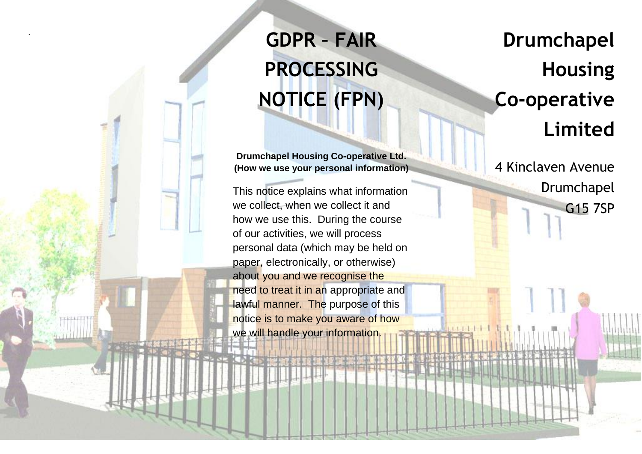**GDPR – FAIR PROCESSING NOTICE (FPN)**

.

**Drumchapel Housing Co -operative Ltd. (How we use your personal information)**

This notice explains what information we collect, when we collect it and how we use this. During the course of our activities, we will process personal data (which may be held on paper, electronically, or otherwise) about you and we recognise the need to treat it in an appropriate and lawful manner. The purpose of this notice is to make you aware of how we will handle your information.

**Drumchapel Housing Co -operative Limited**

4 Kinclaven Avenue Drumchapel G15 7SP